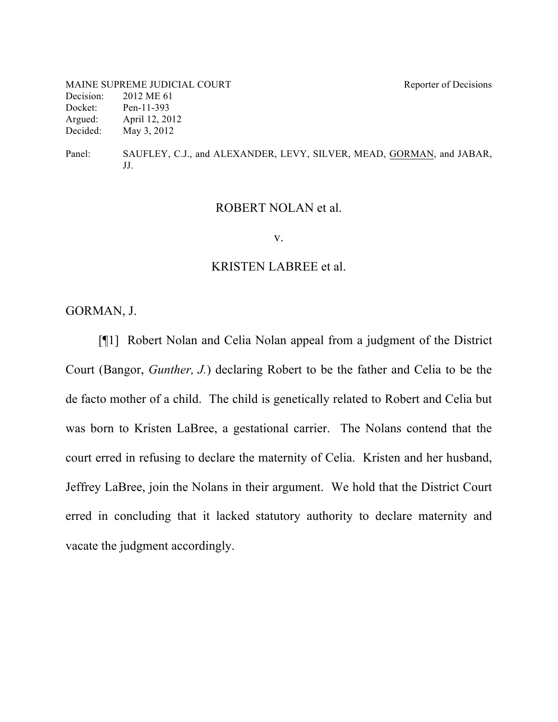MAINE SUPREME JUDICIAL COURT Reporter of Decisions Decision: 2012 ME 61 Docket: Pen-11-393 Argued: April 12, 2012 Decided: May 3, 2012

Panel: SAUFLEY, C.J., and ALEXANDER, LEVY, SILVER, MEAD, GORMAN, and JABAR, JJ.

#### ROBERT NOLAN et al.

v.

#### KRISTEN LABREE et al.

GORMAN, J.

[¶1] Robert Nolan and Celia Nolan appeal from a judgment of the District Court (Bangor, *Gunther, J.*) declaring Robert to be the father and Celia to be the de facto mother of a child. The child is genetically related to Robert and Celia but was born to Kristen LaBree, a gestational carrier. The Nolans contend that the court erred in refusing to declare the maternity of Celia. Kristen and her husband, Jeffrey LaBree, join the Nolans in their argument. We hold that the District Court erred in concluding that it lacked statutory authority to declare maternity and vacate the judgment accordingly.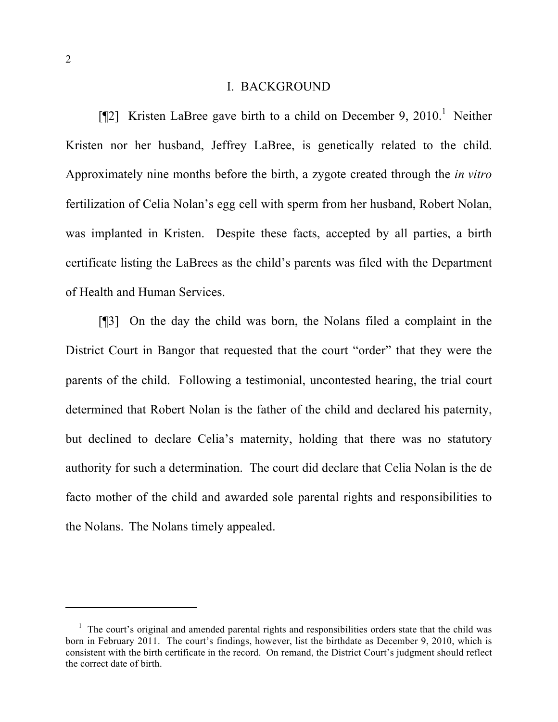### I. BACKGROUND

[¶2] Kristen LaBree gave birth to a child on December 9, 2010.<sup>1</sup> Neither Kristen nor her husband, Jeffrey LaBree, is genetically related to the child. Approximately nine months before the birth, a zygote created through the *in vitro* fertilization of Celia Nolan's egg cell with sperm from her husband, Robert Nolan, was implanted in Kristen. Despite these facts, accepted by all parties, a birth certificate listing the LaBrees as the child's parents was filed with the Department of Health and Human Services.

[¶3] On the day the child was born, the Nolans filed a complaint in the District Court in Bangor that requested that the court "order" that they were the parents of the child. Following a testimonial, uncontested hearing, the trial court determined that Robert Nolan is the father of the child and declared his paternity, but declined to declare Celia's maternity, holding that there was no statutory authority for such a determination. The court did declare that Celia Nolan is the de facto mother of the child and awarded sole parental rights and responsibilities to the Nolans. The Nolans timely appealed.

 $\overline{a}$ 

<sup>&</sup>lt;sup>1</sup> The court's original and amended parental rights and responsibilities orders state that the child was born in February 2011. The court's findings, however, list the birthdate as December 9, 2010, which is consistent with the birth certificate in the record. On remand, the District Court's judgment should reflect the correct date of birth.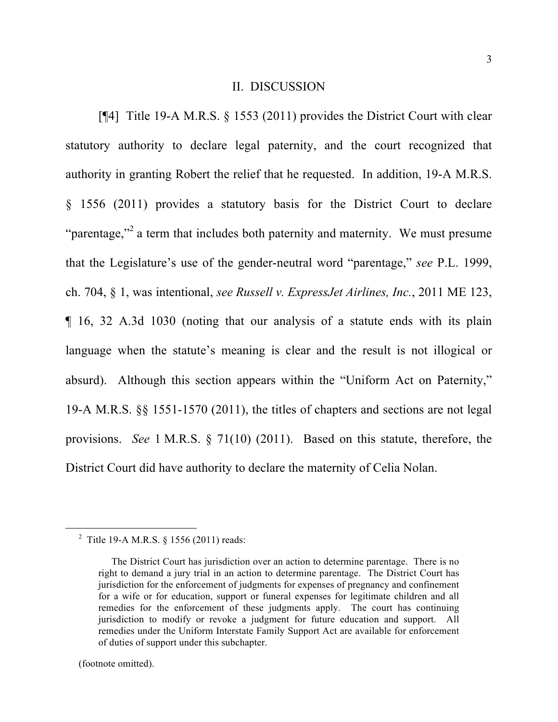#### II. DISCUSSION

[¶4] Title 19-A M.R.S. § 1553 (2011) provides the District Court with clear statutory authority to declare legal paternity, and the court recognized that authority in granting Robert the relief that he requested. In addition, 19-A M.R.S. § 1556 (2011) provides a statutory basis for the District Court to declare "parentage,"<sup>2</sup> a term that includes both paternity and maternity. We must presume that the Legislature's use of the gender-neutral word "parentage," *see* P.L. 1999, ch. 704, § 1, was intentional, *see Russell v. ExpressJet Airlines, Inc.*, 2011 ME 123, ¶ 16, 32 A.3d 1030 (noting that our analysis of a statute ends with its plain language when the statute's meaning is clear and the result is not illogical or absurd). Although this section appears within the "Uniform Act on Paternity," 19-A M.R.S. §§ 1551-1570 (2011), the titles of chapters and sections are not legal provisions. *See* 1 M.R.S. § 71(10) (2011). Based on this statute, therefore, the District Court did have authority to declare the maternity of Celia Nolan.

(footnote omitted).

 <sup>2</sup> Title 19-A M.R.S. § 1556 (2011) reads:

The District Court has jurisdiction over an action to determine parentage. There is no right to demand a jury trial in an action to determine parentage. The District Court has jurisdiction for the enforcement of judgments for expenses of pregnancy and confinement for a wife or for education, support or funeral expenses for legitimate children and all remedies for the enforcement of these judgments apply. The court has continuing jurisdiction to modify or revoke a judgment for future education and support. All remedies under the Uniform Interstate Family Support Act are available for enforcement of duties of support under this subchapter.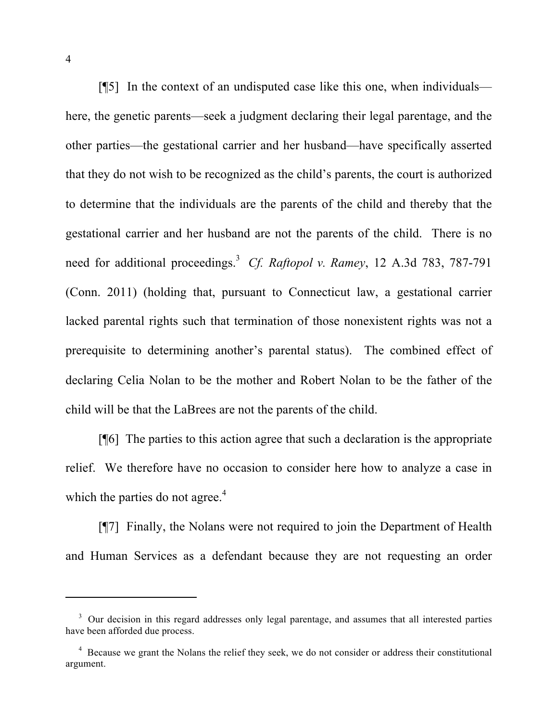[¶5] In the context of an undisputed case like this one, when individuals here, the genetic parents—seek a judgment declaring their legal parentage, and the other parties—the gestational carrier and her husband—have specifically asserted that they do not wish to be recognized as the child's parents, the court is authorized to determine that the individuals are the parents of the child and thereby that the gestational carrier and her husband are not the parents of the child. There is no need for additional proceedings. 3 *Cf. Raftopol v. Ramey*, 12 A.3d 783, 787-791 (Conn. 2011) (holding that, pursuant to Connecticut law, a gestational carrier lacked parental rights such that termination of those nonexistent rights was not a prerequisite to determining another's parental status). The combined effect of declaring Celia Nolan to be the mother and Robert Nolan to be the father of the child will be that the LaBrees are not the parents of the child.

[¶6] The parties to this action agree that such a declaration is the appropriate relief. We therefore have no occasion to consider here how to analyze a case in which the parties do not agree. $4$ 

[¶7] Finally, the Nolans were not required to join the Department of Health and Human Services as a defendant because they are not requesting an order

 $\overline{a}$ 

<sup>&</sup>lt;sup>3</sup> Our decision in this regard addresses only legal parentage, and assumes that all interested parties have been afforded due process.

<sup>&</sup>lt;sup>4</sup> Because we grant the Nolans the relief they seek, we do not consider or address their constitutional argument.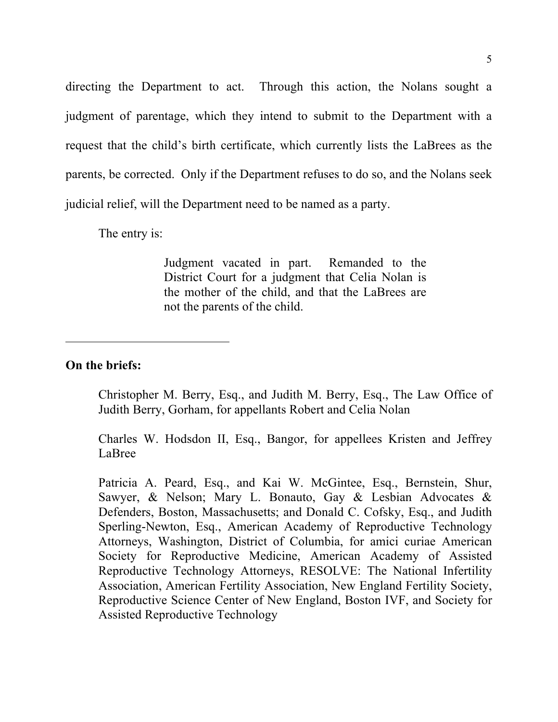directing the Department to act. Through this action, the Nolans sought a judgment of parentage, which they intend to submit to the Department with a request that the child's birth certificate, which currently lists the LaBrees as the parents, be corrected. Only if the Department refuses to do so, and the Nolans seek judicial relief, will the Department need to be named as a party.

The entry is:

Judgment vacated in part. Remanded to the District Court for a judgment that Celia Nolan is the mother of the child, and that the LaBrees are not the parents of the child.

## **On the briefs:**

Christopher M. Berry, Esq., and Judith M. Berry, Esq., The Law Office of Judith Berry, Gorham, for appellants Robert and Celia Nolan

Charles W. Hodsdon II, Esq., Bangor, for appellees Kristen and Jeffrey LaBree

Patricia A. Peard, Esq., and Kai W. McGintee, Esq., Bernstein, Shur, Sawyer, & Nelson; Mary L. Bonauto, Gay & Lesbian Advocates & Defenders, Boston, Massachusetts; and Donald C. Cofsky, Esq., and Judith Sperling-Newton, Esq., American Academy of Reproductive Technology Attorneys, Washington, District of Columbia, for amici curiae American Society for Reproductive Medicine, American Academy of Assisted Reproductive Technology Attorneys, RESOLVE: The National Infertility Association, American Fertility Association, New England Fertility Society, Reproductive Science Center of New England, Boston IVF, and Society for Assisted Reproductive Technology